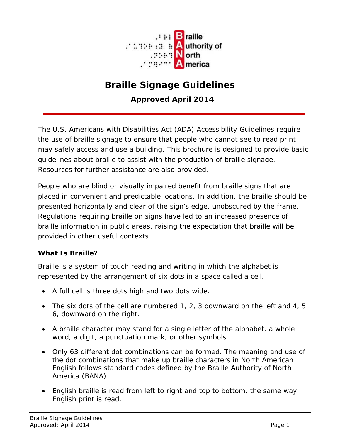

# **Braille Signage Guidelines**

**Approved April 2014**

The U.S. Americans with Disabilities Act (ADA) Accessibility Guidelines require the use of braille signage to ensure that people who cannot see to read print may safely access and use a building. This brochure is designed to provide basic guidelines about braille to assist with the production of braille signage. Resources for further assistance are also provided.

People who are blind or visually impaired benefit from braille signs that are placed in convenient and predictable locations. In addition, the braille should be presented horizontally and clear of the sign's edge, unobscured by the frame. Regulations requiring braille on signs have led to an increased presence of braille information in public areas, raising the expectation that braille will be provided in other useful contexts.

#### **What Is Braille?**

Braille is a system of touch reading and writing in which the alphabet is represented by the arrangement of six dots in a space called a cell.

- A full cell is three dots high and two dots wide.
- The six dots of the cell are numbered 1, 2, 3 downward on the left and 4, 5, 6, downward on the right.
- A braille character may stand for a single letter of the alphabet, a whole word, a digit, a punctuation mark, or other symbols.
- Only 63 different dot combinations can be formed. The meaning and use of the dot combinations that make up braille characters in North American English follows standard codes defined by the Braille Authority of North America (BANA).
- English braille is read from left to right and top to bottom, the same way English print is read.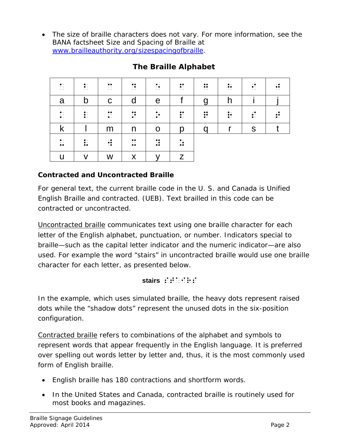• The size of braille characters does not vary. For more information, see the BANA factsheet *Size and Spacing of Braille* at [www.brailleauthority.org/sizespacingofbraille.](http://www.brailleauthority.org/sizespacingofbraille)

| $\cdot$ :<br>$\ddots$ | $\ddot{\cdot}$<br>$\cdot$ $\cdot$ | $\ddot{\cdot}$<br>$\cdot$ $\cdot$ | $\dddot{\bullet}$<br>$\ddots$ | $\ddot{\cdot}$<br>$\cdot$ : | $\ddot{\cdot}$<br>$\cdot$ . | $\ddot{\cdot}$ | $\ddot{\cdot}$ | $\cdot \bullet$<br>$\ddot{\cdot}$ : | $\cdot \bullet$<br>$\ddot{\cdot}$ |
|-----------------------|-----------------------------------|-----------------------------------|-------------------------------|-----------------------------|-----------------------------|----------------|----------------|-------------------------------------|-----------------------------------|
| a                     | $\mathsf b$                       | $\mathbf C$                       | d                             | $\mathbf e$                 |                             | $\overline{g}$ | h              |                                     |                                   |
| $\ddot{\cdot}$        | $\ddot{\cdot}$                    | $\ddot{\cdot}$                    | $\ddot{\ddot{\cdot}}$         | $\ddot{\cdot}$              | $\ddot{\ddot{\cdot}}$       | $\ddot{}}$     | $\ddot{}}$     | $\vdots$                            | $\ddot{\ddot{\cdot}}$             |
| k                     |                                   | m                                 | n                             | $\mathbf O$                 | p                           | q              | r              | ${\sf S}$                           |                                   |
| $\ddot{\cdot}$        | $\vdots$                          | $\cdot \bullet$<br>∺              | $\ddot{\cdot}$                | $\ddot{\ddot{\cdot}}$       | $\ddot{\ddot{\cdot}}$       |                |                |                                     |                                   |
| U                     | V                                 | W                                 | X                             | v                           | Z                           |                |                |                                     |                                   |

## **The Braille Alphabet**

## **Contracted and Uncontracted Braille**

For general text, the current braille code in the U. S. and Canada is Unified English Braille and contracted. (UEB). Text brailled in this code can be contracted or uncontracted.

Uncontracted braille communicates text using one braille character for each letter of the English alphabet, punctuation, or number. Indicators special to braille—such as the capital letter indicator and the numeric indicator—are also used. For example the word "stairs" in uncontracted braille would use one braille character for each letter, as presented below.

#### stairs  $\mathbf{S} \mathbf{S} \mathbf{S} \mathbf{S} \mathbf{S} \mathbf{S} \mathbf{S} \mathbf{S}$

In the example, which uses simulated braille, the heavy dots represent raised dots while the "shadow dots" represent the unused dots in the six-position configuration.

Contracted braille refers to combinations of the alphabet and symbols to represent words that appear frequently in the English language. It is preferred over spelling out words letter by letter and, thus, it is the most commonly used form of English braille.

- English braille has 180 contractions and shortform words.
- In the United States and Canada, contracted braille is routinely used for most books and magazines.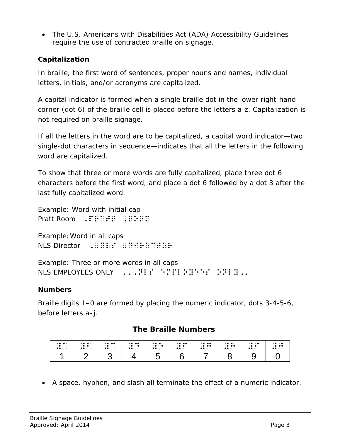• The U.S. Americans with Disabilities Act (ADA) Accessibility Guidelines require the use of contracted braille on signage.

## **Capitalization**

In braille, the first word of sentences, proper nouns and names, individual letters, initials, and/or acronyms are capitalized.

A capital indicator is formed when a single braille dot in the lower right-hand corner (dot 6) of the braille cell is placed before the letters a-z. Capitalization is not required on braille signage.

If all the letters in the word are to be capitalized, a capital word indicator—two single-dot characters in sequence—indicates that all the letters in the following word are capitalized.

To show that three or more words are fully capitalized, place three dot 6 characters before the first word, and place a dot 6 followed by a dot 3 after the last fully capitalized word.

Example: Word with initial cap Pratt Room  $\mathbb{R}$ :  $\mathbb{R}$   $\mathbb{R}$   $\mathbb{R}$   $\mathbb{R}$   $\mathbb{R}$   $\mathbb{R}$   $\mathbb{R}$   $\mathbb{R}$   $\mathbb{R}$   $\mathbb{R}$   $\mathbb{R}$   $\mathbb{R}$   $\mathbb{R}$   $\mathbb{R}$   $\mathbb{R}$   $\mathbb{R}$   $\mathbb{R}$   $\mathbb{R}$   $\mathbb{R}$   $\mathbb{R}$   $\mathbb{R}$   $\mathbb{R}$   $\$ 

Example:Word in all caps NLS Director ,,NLS ,Director

Example: Three or more words in all caps NLS EMPLOYEES ONLY  $\left(0,0,1\right)$  ,  $\left(0,0,1\right)$  ,  $\left(0,0,1\right)$  ,  $\left(0,0,1\right)$  ,  $\left(0,0,1\right)$  ,  $\left(0,0,1\right)$  ,  $\left(0,0,1\right)$  ,  $\left(0,0,1\right)$  ,  $\left(0,0,1\right)$  ,  $\left(0,0,1\right)$  ,  $\left(0,0,1\right)$  ,  $\left(0,0,1\right)$  ,  $\left(0,0,1\$ 

#### **Numbers**

Braille digits 1–0 are formed by placing the numeric indicator, dots 3-4-5-6, before letters a–j.

#### **The Braille Numbers**

| $\cdot \bullet \bullet \cdot$ | $\cdot \bullet \bullet \cdot$  | $\cdot \bullet \bullet \bullet$ | $\cdot \bullet \bullet \bullet$ | $\cdot \bullet \bullet \cdot$      | $\cdot \bullet \bullet \bullet$ | $\cdot \bullet \bullet \bullet$ | $\cdot \bullet \bullet \cdot$   | $\cdot \cdot \cdot \cdot$      | $\cdot \bullet \cdot \bullet$   |
|-------------------------------|--------------------------------|---------------------------------|---------------------------------|------------------------------------|---------------------------------|---------------------------------|---------------------------------|--------------------------------|---------------------------------|
| $\cdot \bullet \cdot \cdot$   | $\cdot \bullet \bullet \cdot$  | $\cdot \bullet \cdot \cdot$     | $\cdot \bullet \cdot \bullet$   | $\cdot \bullet \cdot \bullet$      | $\cdot \bullet \bullet \cdot$   | $\cdot \bullet \bullet \bullet$ | $\cdot \bullet \bullet \bullet$ | $\cdot \bullet \bullet \cdot$  | $\cdot \bullet \bullet \bullet$ |
| $\bullet\bullet\cdots$        | $\bullet\bullet\;\cdot\;\cdot$ | $\bullet\bullet\cdots$          | $\bullet\bullet\;\cdot\;\cdot$  | $\bullet\bullet\;\;\cdot\;\;\cdot$ | $\bullet\bullet\cdots$          | $\bullet\bullet\cdots$          | $\bullet\bullet\;\cdot\;\cdot$  | $\bullet\bullet\;\cdot\;\cdot$ | $\bullet\bullet\;\cdot\;\cdot$  |
|                               |                                |                                 |                                 |                                    |                                 |                                 |                                 |                                |                                 |

• A space, hyphen, and slash all terminate the effect of a numeric indicator.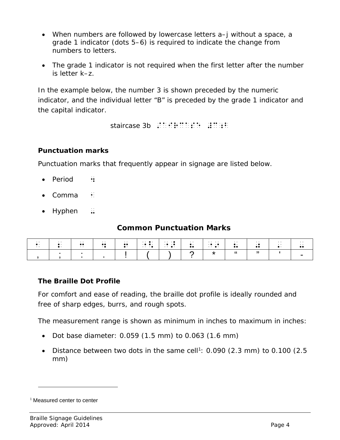- When numbers are followed by lowercase letters a–j without a space, a grade 1 indicator (dots 5–6) is required to indicate the change from numbers to letters.
- The grade 1 indicator is not required when the first letter after the number is letter k–z.

In the example below, the number 3 is shown preceded by the numeric indicator, and the individual letter "B" is preceded by the grade 1 indicator and the capital indicator.

staircase 3b /aircase #C;b

### **Punctuation marks**

Punctuation marks that frequently appear in signage are listed below.

- Period  $\cdot$ :
- Comma  $\pm$
- $\bullet$  Hyphen  $\ddots$

## **Common Punctuation Marks**

| $\sim$ $\sim$<br>$\ddot{\phantom{a}}$ | $\cdot$ .<br>$\bullet$ . | $\cdot$ .<br>$\bullet\bullet$<br>$\cdot$ $\cdot$ | $\cdot$ .<br>$\bullet\bullet$<br>$\cdot$ . | $\cdots$<br>$\bullet\bullet$<br>$\bullet\cdot$ | $\cdots$ .<br>$\bullet$ .<br>$\cdots$ . $\cdots$ | $\cdots$<br>$\cdot \bullet \cdot \bullet$ | $\sim$ $\sim$ $\sim$ $\sim$<br>$\bullet$ .<br>$\bullet\bullet$ | .<br>$\bullet$ $\bullet$ | $\cdot$ .<br>$\bullet$ .<br> | $\cdot$ $\cdot$<br>$\cdot \bullet$<br>$\bullet\bullet$ | $\cdot$ .<br>$\cdots$<br>$\bullet$ . | $\cdot$ $\cdot$<br>. . |
|---------------------------------------|--------------------------|--------------------------------------------------|--------------------------------------------|------------------------------------------------|--------------------------------------------------|-------------------------------------------|----------------------------------------------------------------|--------------------------|------------------------------|--------------------------------------------------------|--------------------------------------|------------------------|
|                                       |                          |                                                  |                                            |                                                |                                                  |                                           |                                                                |                          |                              |                                                        |                                      |                        |

#### **The Braille Dot Profile**

For comfort and ease of reading, the braille dot profile is ideally rounded and free of sharp edges, burrs, and rough spots.

The measurement range is shown as minimum in inches to maximum in inches:

- Dot base diameter: 0.059 (1.5 mm) to 0.063 (1.6 mm)
- Distance between two dots in the same cell<sup>[1](#page-3-0)</sup>:  $0.090$  (2.3 mm) to 0.100 (2.5 mm)

l

<span id="page-3-0"></span><sup>&</sup>lt;sup>1</sup> Measured center to center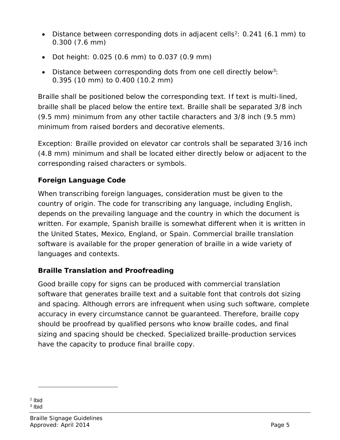- Distance between corresponding dots in adjacent cells<sup>[2](#page-4-0)</sup>:  $0.241$  (6.1 mm) to 0.300 (7.6 mm)
- Dot height: 0.025 (0.6 mm) to 0.037 (0.9 mm)
- Distance between corresponding dots from one cell directly below<sup>[3](#page-4-1)</sup>: 0.395 (10 mm) to 0.400 (10.2 mm)

Braille shall be positioned below the corresponding text. If text is multi-lined, braille shall be placed below the entire text. Braille shall be separated 3/8 inch (9.5 mm) minimum from any other tactile characters and 3/8 inch (9.5 mm) minimum from raised borders and decorative elements.

Exception: Braille provided on elevator car controls shall be separated 3/16 inch (4.8 mm) minimum and shall be located either directly below or adjacent to the corresponding raised characters or symbols.

## **Foreign Language Code**

When transcribing foreign languages, consideration must be given to the country of origin. The code for transcribing any language, including English, depends on the prevailing language and the country in which the document is written. For example, Spanish braille is somewhat different when it is written in the United States, Mexico, England, or Spain. Commercial braille translation software is available for the proper generation of braille in a wide variety of languages and contexts.

## **Braille Translation and Proofreading**

Good braille copy for signs can be produced with commercial translation software that generates braille text and a suitable font that controls dot sizing and spacing. Although errors are infrequent when using such software, complete accuracy in every circumstance cannot be guaranteed. Therefore, braille copy should be proofread by qualified persons who know braille codes, and final sizing and spacing should be checked. Specialized braille-production services have the capacity to produce final braille copy.

l

<span id="page-4-1"></span><span id="page-4-0"></span><sup>2</sup> Ibid <sup>3</sup> Ibid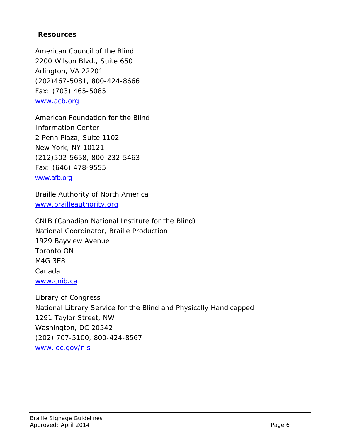#### **Resources**

American Council of the Blind 2200 Wilson Blvd., Suite 650 Arlington, VA 22201 (202)467-5081, 800-424-8666 Fax: (703) 465-5085 [www.acb.org](http://www.acb.org/)

American Foundation for the Blind Information Center 2 Penn Plaza, Suite 1102 New York, NY 10121 (212)502-5658, 800-232-5463 Fax: (646) 478-9555 [www.afb.org](http://www.afb.org/)

Braille Authority of North America [www.brailleauthority.org](http://www.brailleauthority.org/)

CNIB (Canadian National Institute for the Blind) National Coordinator, Braille Production 1929 Bayview Avenue Toronto ON M4G 3E8 Canada [www.cnib.ca](http://www.cnib.ca/)

Library of Congress National Library Service for the Blind and Physically Handicapped 1291 Taylor Street, NW Washington, DC 20542 (202) 707-5100, 800-424-8567 [www.loc.gov/nls](http://www.loc.gov/nls)